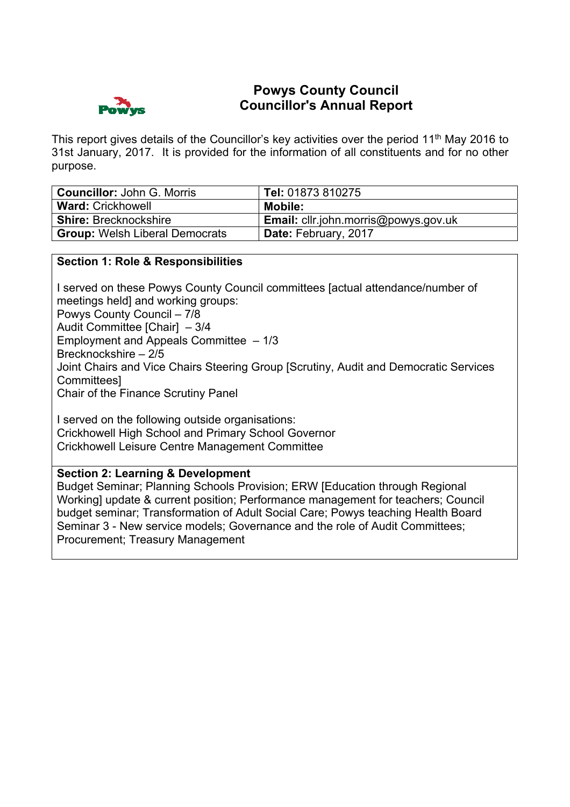

# **Powys County Council Councillor's Annual Report**

This report gives details of the Councillor's key activities over the period 11<sup>th</sup> May 2016 to 31st January, 2017. It is provided for the information of all constituents and for no other purpose.

| <b>Councillor: John G. Morris</b>     | Tel: 01873 810275                    |
|---------------------------------------|--------------------------------------|
| <b>Ward: Crickhowell</b>              | Mobile:                              |
| <b>Shire: Brecknockshire</b>          | Email: cllr.john.morris@powys.gov.uk |
| <b>Group: Welsh Liberal Democrats</b> | Date: February, 2017                 |

## **Section 1: Role & Responsibilities**

I served on these Powys County Council committees [actual attendance/number of meetings held] and working groups: Powys County Council – 7/8 Audit Committee [Chair] – 3/4 Employment and Appeals Committee – 1/3 Brecknockshire – 2/5 Joint Chairs and Vice Chairs Steering Group [Scrutiny, Audit and Democratic Services Committees] Chair of the Finance Scrutiny Panel

I served on the following outside organisations: Crickhowell High School and Primary School Governor Crickhowell Leisure Centre Management Committee

### **Section 2: Learning & Development**

Budget Seminar; Planning Schools Provision; ERW [Education through Regional Working] update & current position; Performance management for teachers; Council budget seminar; Transformation of Adult Social Care; Powys teaching Health Board Seminar 3 - New service models; Governance and the role of Audit Committees; Procurement; Treasury Management